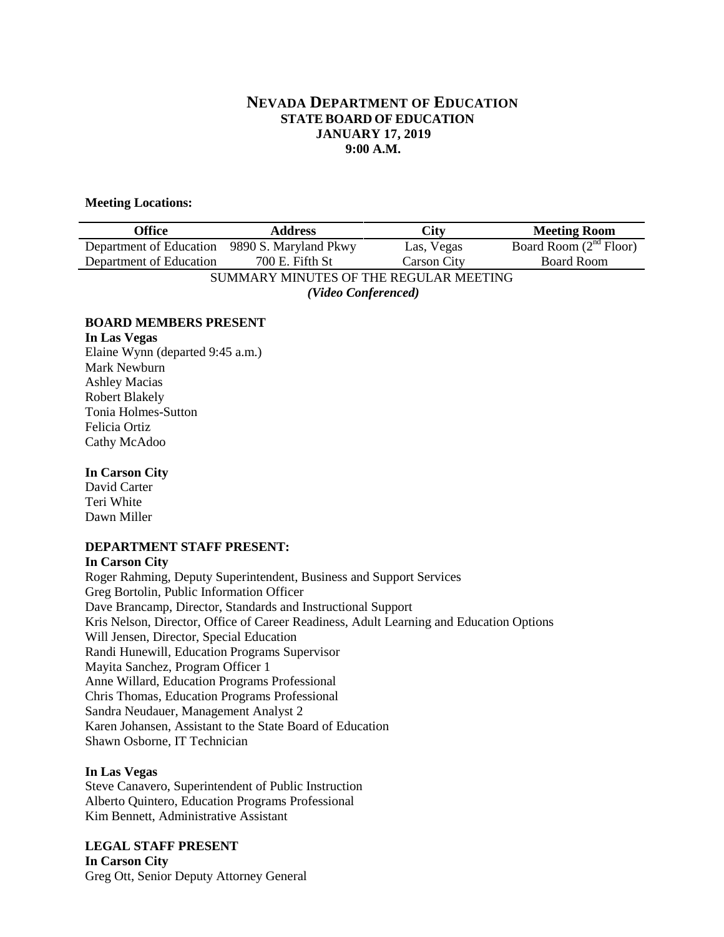# **NEVADA DEPARTMENT OF EDUCATION STATE BOARD OF EDUCATION JANUARY 17, 2019 9:00 A.M.**

#### **Meeting Locations:**

| Office                                        | <b>Address</b>  | <b>City</b>        | <b>Meeting Room</b>      |  |
|-----------------------------------------------|-----------------|--------------------|--------------------------|--|
| Department of Education 9890 S. Maryland Pkwy |                 | Las, Vegas         | Board Room $(2nd$ Floor) |  |
| Department of Education                       | 700 E. Fifth St | <b>Carson City</b> | <b>Board Room</b>        |  |
| SUMMARY MINUTES OF THE REGULAR MEETING        |                 |                    |                          |  |
| (Video Conferenced)                           |                 |                    |                          |  |

## **BOARD MEMBERS PRESENT**

**In Las Vegas** Elaine Wynn (departed 9:45 a.m.) Mark Newburn Ashley Macias Robert Blakely Tonia Holmes-Sutton Felicia Ortiz Cathy McAdoo

## **In Carson City**

David Carter Teri White Dawn Miller

## **DEPARTMENT STAFF PRESENT:**

#### **In Carson City**

Roger Rahming, Deputy Superintendent, Business and Support Services Greg Bortolin, Public Information Officer Dave Brancamp, Director, Standards and Instructional Support Kris Nelson, Director, Office of Career Readiness, Adult Learning and Education Options Will Jensen, Director, Special Education Randi Hunewill, Education Programs Supervisor Mayita Sanchez, Program Officer 1 Anne Willard, Education Programs Professional Chris Thomas, Education Programs Professional Sandra Neudauer, Management Analyst 2 Karen Johansen, Assistant to the State Board of Education Shawn Osborne, IT Technician

## **In Las Vegas**

Steve Canavero, Superintendent of Public Instruction Alberto Quintero, Education Programs Professional Kim Bennett, Administrative Assistant

**LEGAL STAFF PRESENT In Carson City** Greg Ott, Senior Deputy Attorney General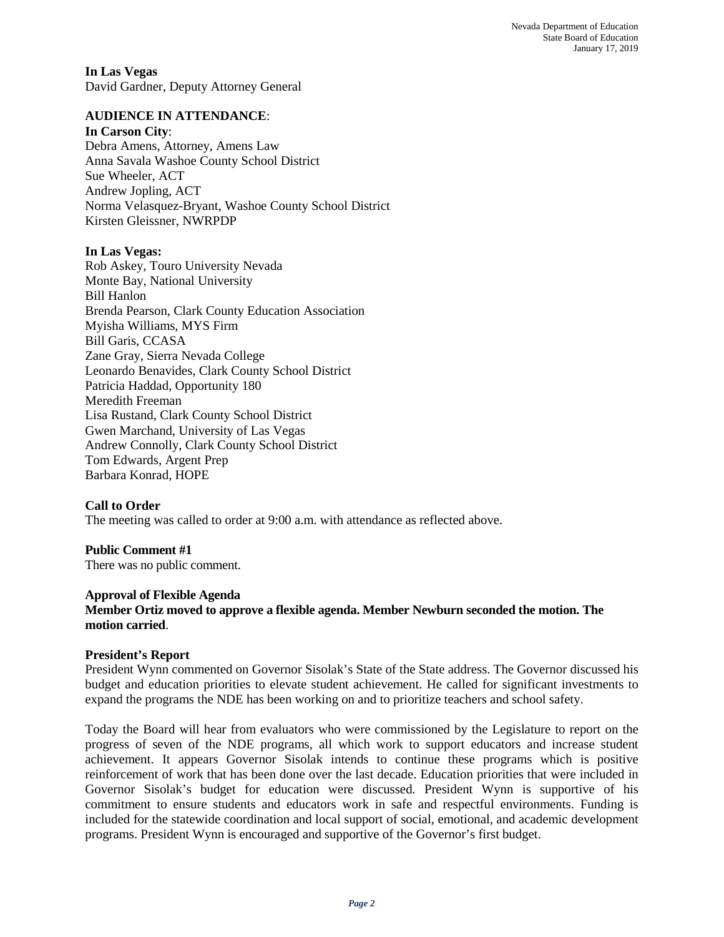**In Las Vegas**  David Gardner, Deputy Attorney General

## **AUDIENCE IN ATTENDANCE**:

### **In Carson City**:

Debra Amens, Attorney, Amens Law Anna Savala Washoe County School District Sue Wheeler, ACT Andrew Jopling, ACT Norma Velasquez-Bryant, Washoe County School District Kirsten Gleissner, NWRPDP

## **In Las Vegas:**

Rob Askey, Touro University Nevada Monte Bay, National University Bill Hanlon Brenda Pearson, Clark County Education Association Myisha Williams, MYS Firm Bill Garis, CCASA Zane Gray, Sierra Nevada College Leonardo Benavides, Clark County School District Patricia Haddad, Opportunity 180 Meredith Freeman Lisa Rustand, Clark County School District Gwen Marchand, University of Las Vegas Andrew Connolly, Clark County School District Tom Edwards, Argent Prep Barbara Konrad, HOPE

## **Call to Order**

The meeting was called to order at 9:00 a.m. with attendance as reflected above.

## **Public Comment #1**

There was no public comment.

## **Approval of Flexible Agenda**

# **Member Ortiz moved to approve a flexible agenda. Member Newburn seconded the motion. The motion carried**.

## **President's Report**

President Wynn commented on Governor Sisolak's State of the State address. The Governor discussed his budget and education priorities to elevate student achievement. He called for significant investments to expand the programs the NDE has been working on and to prioritize teachers and school safety.

Today the Board will hear from evaluators who were commissioned by the Legislature to report on the progress of seven of the NDE programs, all which work to support educators and increase student achievement. It appears Governor Sisolak intends to continue these programs which is positive reinforcement of work that has been done over the last decade. Education priorities that were included in Governor Sisolak's budget for education were discussed. President Wynn is supportive of his commitment to ensure students and educators work in safe and respectful environments. Funding is included for the statewide coordination and local support of social, emotional, and academic development programs. President Wynn is encouraged and supportive of the Governor's first budget.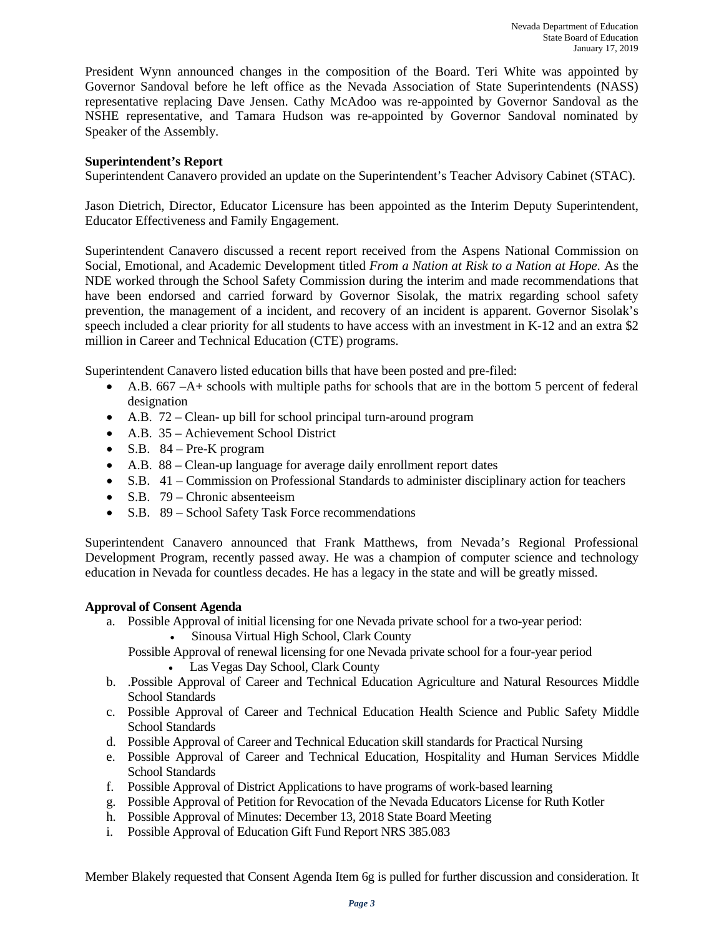President Wynn announced changes in the composition of the Board. Teri White was appointed by Governor Sandoval before he left office as the Nevada Association of State Superintendents (NASS) representative replacing Dave Jensen. Cathy McAdoo was re-appointed by Governor Sandoval as the NSHE representative, and Tamara Hudson was re-appointed by Governor Sandoval nominated by Speaker of the Assembly.

## **Superintendent's Report**

Superintendent Canavero provided an update on the Superintendent's Teacher Advisory Cabinet (STAC).

Jason Dietrich, Director, Educator Licensure has been appointed as the Interim Deputy Superintendent, Educator Effectiveness and Family Engagement.

Superintendent Canavero discussed a recent report received from the Aspens National Commission on Social, Emotional, and Academic Development titled *From a Nation at Risk to a Nation at Hope.* As the NDE worked through the School Safety Commission during the interim and made recommendations that have been endorsed and carried forward by Governor Sisolak, the matrix regarding school safety prevention, the management of a incident, and recovery of an incident is apparent. Governor Sisolak's speech included a clear priority for all students to have access with an investment in K-12 and an extra \$2 million in Career and Technical Education (CTE) programs.

Superintendent Canavero listed education bills that have been posted and pre-filed:

- A.B. 667 –A+ schools with multiple paths for schools that are in the bottom 5 percent of federal designation
- A.B. 72 Clean- up bill for school principal turn-around program
- A.B. 35 Achievement School District
- S.B.  $84 Pre-K program$
- A.B. 88 Clean-up language for average daily enrollment report dates
- S.B.  $41$  Commission on Professional Standards to administer disciplinary action for teachers
- S.B. 79 Chronic absenteeism
- S.B. 89 School Safety Task Force recommendations

Superintendent Canavero announced that Frank Matthews, from Nevada's Regional Professional Development Program, recently passed away. He was a champion of computer science and technology education in Nevada for countless decades. He has a legacy in the state and will be greatly missed.

### **Approval of Consent Agenda**

- a. Possible Approval of initial licensing for one Nevada private school for a two-year period:
	- Sinousa Virtual High School, Clark County
	- Possible Approval of renewal licensing for one Nevada private school for a four-year period
		- Las Vegas Day School, Clark County
- b. .Possible Approval of Career and Technical Education Agriculture and Natural Resources Middle School Standards
- c. Possible Approval of Career and Technical Education Health Science and Public Safety Middle School Standards
- d. Possible Approval of Career and Technical Education skill standards for Practical Nursing
- e. Possible Approval of Career and Technical Education, Hospitality and Human Services Middle School Standards
- f. Possible Approval of District Applications to have programs of work-based learning
- g. Possible Approval of Petition for Revocation of the Nevada Educators License for Ruth Kotler
- h. Possible Approval of Minutes: December 13, 2018 State Board Meeting
- i. Possible Approval of Education Gift Fund Report NRS 385.083

Member Blakely requested that Consent Agenda Item 6g is pulled for further discussion and consideration. It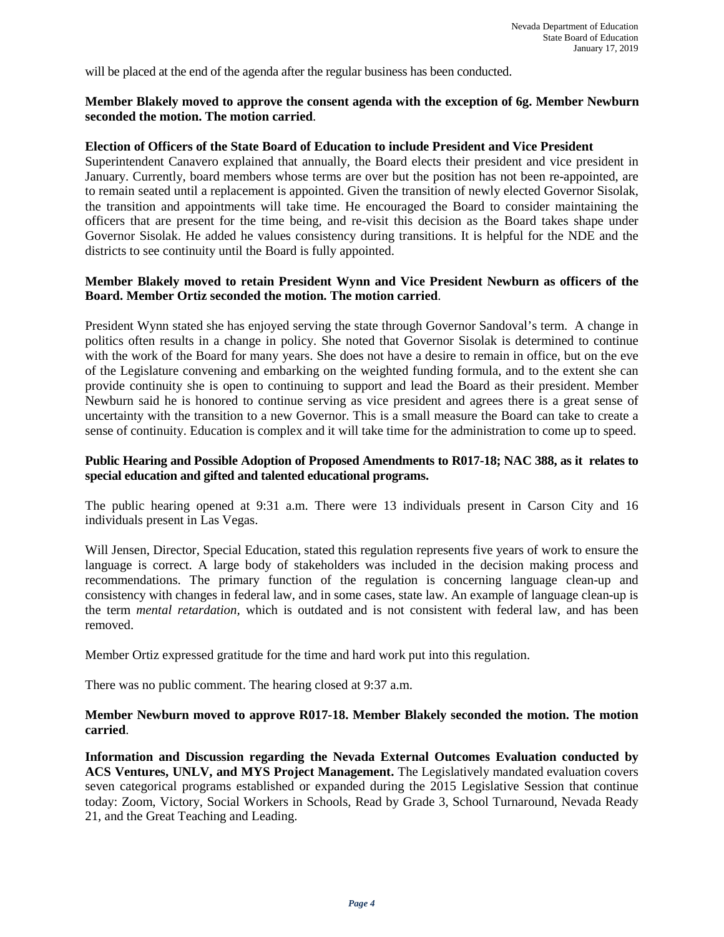will be placed at the end of the agenda after the regular business has been conducted.

### **Member Blakely moved to approve the consent agenda with the exception of 6g. Member Newburn seconded the motion. The motion carried**.

#### **Election of Officers of the State Board of Education to include President and Vice President**

Superintendent Canavero explained that annually, the Board elects their president and vice president in January. Currently, board members whose terms are over but the position has not been re-appointed, are to remain seated until a replacement is appointed. Given the transition of newly elected Governor Sisolak, the transition and appointments will take time. He encouraged the Board to consider maintaining the officers that are present for the time being, and re-visit this decision as the Board takes shape under Governor Sisolak. He added he values consistency during transitions. It is helpful for the NDE and the districts to see continuity until the Board is fully appointed.

### **Member Blakely moved to retain President Wynn and Vice President Newburn as officers of the Board. Member Ortiz seconded the motion. The motion carried**.

President Wynn stated she has enjoyed serving the state through Governor Sandoval's term. A change in politics often results in a change in policy. She noted that Governor Sisolak is determined to continue with the work of the Board for many years. She does not have a desire to remain in office, but on the eve of the Legislature convening and embarking on the weighted funding formula, and to the extent she can provide continuity she is open to continuing to support and lead the Board as their president. Member Newburn said he is honored to continue serving as vice president and agrees there is a great sense of uncertainty with the transition to a new Governor. This is a small measure the Board can take to create a sense of continuity. Education is complex and it will take time for the administration to come up to speed.

### **Public Hearing and Possible Adoption of Proposed Amendments to R017-18; NAC 388, as it relates to special education and gifted and talented educational programs.**

The public hearing opened at 9:31 a.m. There were 13 individuals present in Carson City and 16 individuals present in Las Vegas.

Will Jensen, Director, Special Education, stated this regulation represents five years of work to ensure the language is correct. A large body of stakeholders was included in the decision making process and recommendations. The primary function of the regulation is concerning language clean-up and consistency with changes in federal law, and in some cases, state law. An example of language clean-up is the term *mental retardation,* which is outdated and is not consistent with federal law, and has been removed.

Member Ortiz expressed gratitude for the time and hard work put into this regulation.

There was no public comment. The hearing closed at 9:37 a.m.

### **Member Newburn moved to approve R017-18. Member Blakely seconded the motion. The motion carried**.

**Information and Discussion regarding the Nevada External Outcomes Evaluation conducted by ACS Ventures, UNLV, and MYS Project Management.** The Legislatively mandated evaluation covers seven categorical programs established or expanded during the 2015 Legislative Session that continue today: Zoom, Victory, Social Workers in Schools, Read by Grade 3, School Turnaround, Nevada Ready 21, and the Great Teaching and Leading.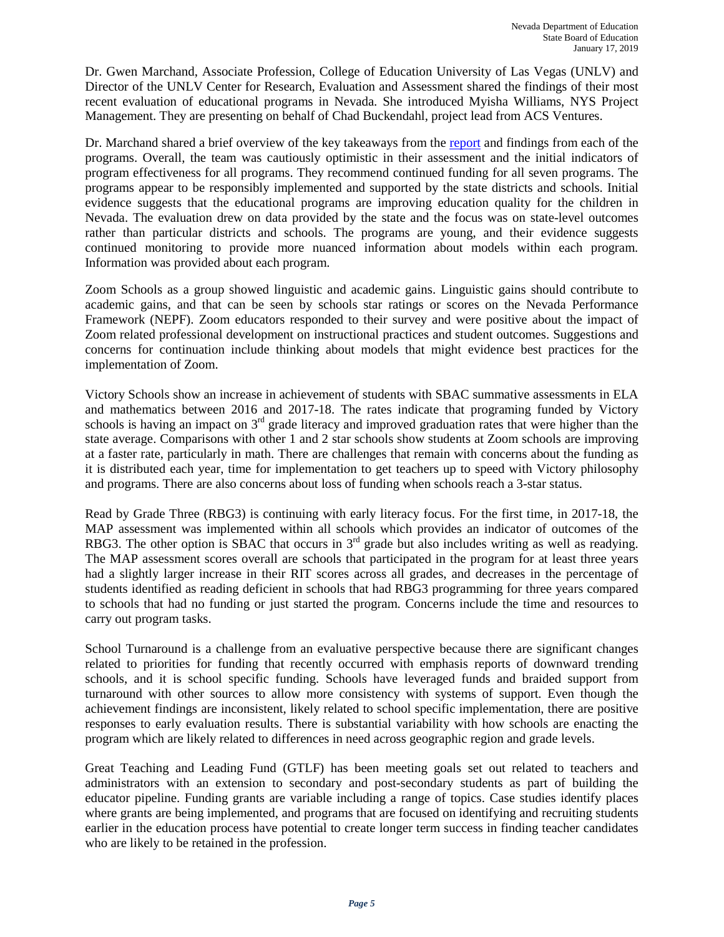Dr. Gwen Marchand, Associate Profession, College of Education University of Las Vegas (UNLV) and Director of the UNLV Center for Research, Evaluation and Assessment shared the findings of their most recent evaluation of educational programs in Nevada. She introduced Myisha Williams, NYS Project Management. They are presenting on behalf of Chad Buckendahl, project lead from ACS Ventures.

Dr. Marchand shared a brief overview of the key takeaways from the [report](http://acsventures.com/images/presentations/2018%20Nevada%20External%20Outcomes%20Evaluation%20Report%2020190107%20-%20FINAL.pdf) and findings from each of the programs. Overall, the team was cautiously optimistic in their assessment and the initial indicators of program effectiveness for all programs. They recommend continued funding for all seven programs. The programs appear to be responsibly implemented and supported by the state districts and schools. Initial evidence suggests that the educational programs are improving education quality for the children in Nevada. The evaluation drew on data provided by the state and the focus was on state-level outcomes rather than particular districts and schools. The programs are young, and their evidence suggests continued monitoring to provide more nuanced information about models within each program. Information was provided about each program.

Zoom Schools as a group showed linguistic and academic gains. Linguistic gains should contribute to academic gains, and that can be seen by schools star ratings or scores on the Nevada Performance Framework (NEPF). Zoom educators responded to their survey and were positive about the impact of Zoom related professional development on instructional practices and student outcomes. Suggestions and concerns for continuation include thinking about models that might evidence best practices for the implementation of Zoom.

Victory Schools show an increase in achievement of students with SBAC summative assessments in ELA and mathematics between 2016 and 2017-18. The rates indicate that programing funded by Victory schools is having an impact on 3<sup>rd</sup> grade literacy and improved graduation rates that were higher than the state average. Comparisons with other 1 and 2 star schools show students at Zoom schools are improving at a faster rate, particularly in math. There are challenges that remain with concerns about the funding as it is distributed each year, time for implementation to get teachers up to speed with Victory philosophy and programs. There are also concerns about loss of funding when schools reach a 3-star status.

Read by Grade Three (RBG3) is continuing with early literacy focus. For the first time, in 2017-18, the MAP assessment was implemented within all schools which provides an indicator of outcomes of the RBG3. The other option is SBAC that occurs in  $3<sup>rd</sup>$  grade but also includes writing as well as readying. The MAP assessment scores overall are schools that participated in the program for at least three years had a slightly larger increase in their RIT scores across all grades, and decreases in the percentage of students identified as reading deficient in schools that had RBG3 programming for three years compared to schools that had no funding or just started the program. Concerns include the time and resources to carry out program tasks.

School Turnaround is a challenge from an evaluative perspective because there are significant changes related to priorities for funding that recently occurred with emphasis reports of downward trending schools, and it is school specific funding. Schools have leveraged funds and braided support from turnaround with other sources to allow more consistency with systems of support. Even though the achievement findings are inconsistent, likely related to school specific implementation, there are positive responses to early evaluation results. There is substantial variability with how schools are enacting the program which are likely related to differences in need across geographic region and grade levels.

Great Teaching and Leading Fund (GTLF) has been meeting goals set out related to teachers and administrators with an extension to secondary and post-secondary students as part of building the educator pipeline. Funding grants are variable including a range of topics. Case studies identify places where grants are being implemented, and programs that are focused on identifying and recruiting students earlier in the education process have potential to create longer term success in finding teacher candidates who are likely to be retained in the profession.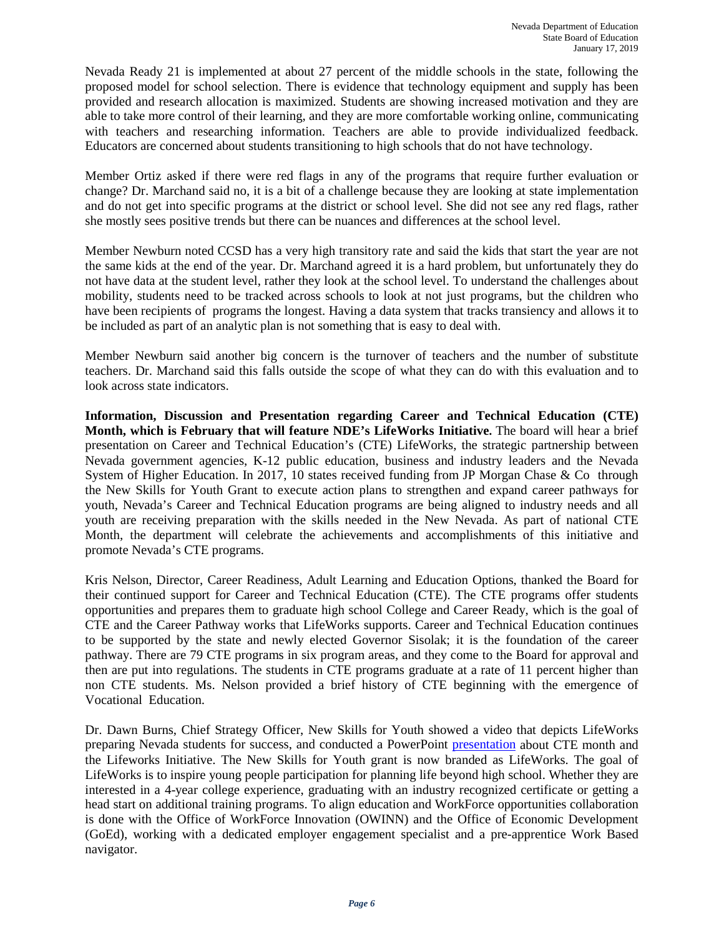Nevada Ready 21 is implemented at about 27 percent of the middle schools in the state, following the proposed model for school selection. There is evidence that technology equipment and supply has been provided and research allocation is maximized. Students are showing increased motivation and they are able to take more control of their learning, and they are more comfortable working online, communicating with teachers and researching information. Teachers are able to provide individualized feedback. Educators are concerned about students transitioning to high schools that do not have technology.

Member Ortiz asked if there were red flags in any of the programs that require further evaluation or change? Dr. Marchand said no, it is a bit of a challenge because they are looking at state implementation and do not get into specific programs at the district or school level. She did not see any red flags, rather she mostly sees positive trends but there can be nuances and differences at the school level.

Member Newburn noted CCSD has a very high transitory rate and said the kids that start the year are not the same kids at the end of the year. Dr. Marchand agreed it is a hard problem, but unfortunately they do not have data at the student level, rather they look at the school level. To understand the challenges about mobility, students need to be tracked across schools to look at not just programs, but the children who have been recipients of programs the longest. Having a data system that tracks transiency and allows it to be included as part of an analytic plan is not something that is easy to deal with.

Member Newburn said another big concern is the turnover of teachers and the number of substitute teachers. Dr. Marchand said this falls outside the scope of what they can do with this evaluation and to look across state indicators.

**Information, Discussion and Presentation regarding Career and Technical Education (CTE) Month, which is February that will feature NDE's LifeWorks Initiative.** The board will hear a brief presentation on Career and Technical Education's (CTE) LifeWorks, the strategic partnership between Nevada government agencies, K-12 public education, business and industry leaders and the Nevada System of Higher Education. In 2017, 10 states received funding from JP Morgan Chase & Co through the New Skills for Youth Grant to execute action plans to strengthen and expand career pathways for youth, Nevada's Career and Technical Education programs are being aligned to industry needs and all youth are receiving preparation with the skills needed in the New Nevada. As part of national CTE Month, the department will celebrate the achievements and accomplishments of this initiative and promote Nevada's CTE programs.

Kris Nelson, Director, Career Readiness, Adult Learning and Education Options, thanked the Board for their continued support for Career and Technical Education (CTE). The CTE programs offer students opportunities and prepares them to graduate high school College and Career Ready, which is the goal of CTE and the Career Pathway works that LifeWorks supports. Career and Technical Education continues to be supported by the state and newly elected Governor Sisolak; it is the foundation of the career pathway. There are 79 CTE programs in six program areas, and they come to the Board for approval and then are put into regulations. The students in CTE programs graduate at a rate of 11 percent higher than non CTE students. Ms. Nelson provided a brief history of CTE beginning with the emergence of Vocational Education.

Dr. Dawn Burns, Chief Strategy Officer, New Skills for Youth showed a video that depicts LifeWorks preparing Nevada students for success, and conducted a PowerPoint [presentation](http://www.doe.nv.gov/layouts/master/images/file_icons/ppt.png) about CTE month and the Lifeworks Initiative. The New Skills for Youth grant is now branded as LifeWorks. The goal of LifeWorks is to inspire young people participation for planning life beyond high school. Whether they are interested in a 4-year college experience, graduating with an industry recognized certificate or getting a head start on additional training programs. To align education and WorkForce opportunities collaboration is done with the Office of WorkForce Innovation (OWINN) and the Office of Economic Development (GoEd), working with a dedicated employer engagement specialist and a pre-apprentice Work Based navigator.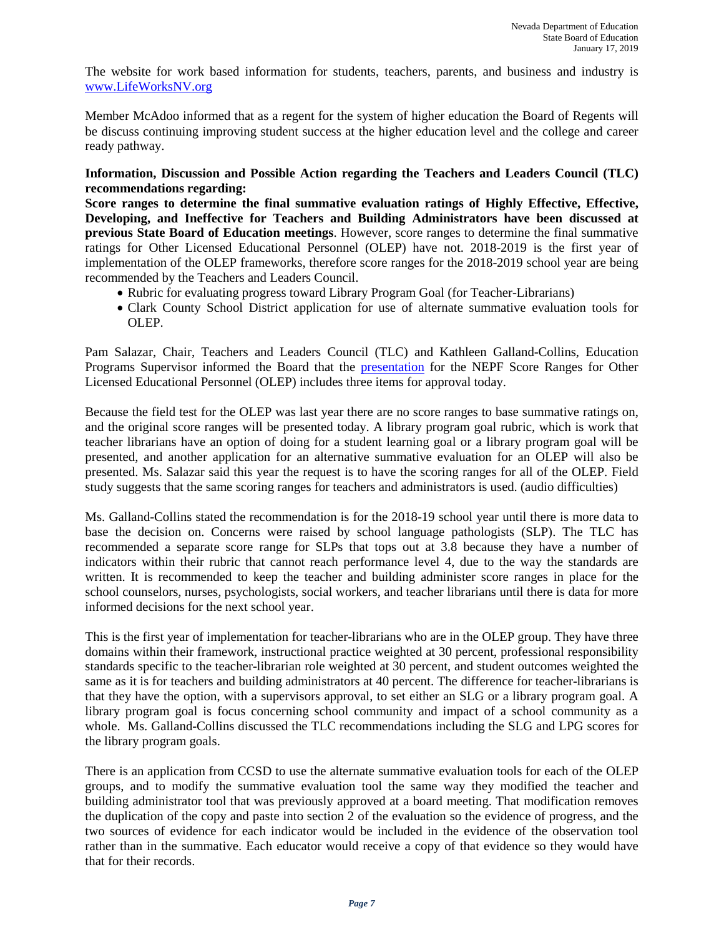The website for work based information for students, teachers, parents, and business and industry is [www.LifeWorksNV.org](http://www.lifeworksnv.org/)

Member McAdoo informed that as a regent for the system of higher education the Board of Regents will be discuss continuing improving student success at the higher education level and the college and career ready pathway.

## **Information, Discussion and Possible Action regarding the Teachers and Leaders Council (TLC) recommendations regarding:**

**Score ranges to determine the final summative evaluation ratings of Highly Effective, Effective, Developing, and Ineffective for Teachers and Building Administrators have been discussed at previous State Board of Education meetings**. However, score ranges to determine the final summative ratings for Other Licensed Educational Personnel (OLEP) have not. 2018-2019 is the first year of implementation of the OLEP frameworks, therefore score ranges for the 2018-2019 school year are being recommended by the Teachers and Leaders Council.

- Rubric for evaluating progress toward Library Program Goal (for Teacher-Librarians)
- Clark County School District application for use of alternate summative evaluation tools for OLEP.

Pam Salazar, Chair, Teachers and Leaders Council (TLC) and Kathleen Galland-Collins, Education Programs Supervisor informed the Board that the [presentation](http://www.doe.nv.gov/layouts/master/images/file_icons/pdf.png) for the NEPF Score Ranges for Other Licensed Educational Personnel (OLEP) includes three items for approval today.

Because the field test for the OLEP was last year there are no score ranges to base summative ratings on, and the original score ranges will be presented today. A library program goal rubric, which is work that teacher librarians have an option of doing for a student learning goal or a library program goal will be presented, and another application for an alternative summative evaluation for an OLEP will also be presented. Ms. Salazar said this year the request is to have the scoring ranges for all of the OLEP. Field study suggests that the same scoring ranges for teachers and administrators is used. (audio difficulties)

Ms. Galland-Collins stated the recommendation is for the 2018-19 school year until there is more data to base the decision on. Concerns were raised by school language pathologists (SLP). The TLC has recommended a separate score range for SLPs that tops out at 3.8 because they have a number of indicators within their rubric that cannot reach performance level 4, due to the way the standards are written. It is recommended to keep the teacher and building administer score ranges in place for the school counselors, nurses, psychologists, social workers, and teacher librarians until there is data for more informed decisions for the next school year.

This is the first year of implementation for teacher-librarians who are in the OLEP group. They have three domains within their framework, instructional practice weighted at 30 percent, professional responsibility standards specific to the teacher-librarian role weighted at 30 percent, and student outcomes weighted the same as it is for teachers and building administrators at 40 percent. The difference for teacher-librarians is that they have the option, with a supervisors approval, to set either an SLG or a library program goal. A library program goal is focus concerning school community and impact of a school community as a whole. Ms. Galland-Collins discussed the TLC recommendations including the SLG and LPG scores for the library program goals.

There is an application from CCSD to use the alternate summative evaluation tools for each of the OLEP groups, and to modify the summative evaluation tool the same way they modified the teacher and building administrator tool that was previously approved at a board meeting. That modification removes the duplication of the copy and paste into section 2 of the evaluation so the evidence of progress, and the two sources of evidence for each indicator would be included in the evidence of the observation tool rather than in the summative. Each educator would receive a copy of that evidence so they would have that for their records.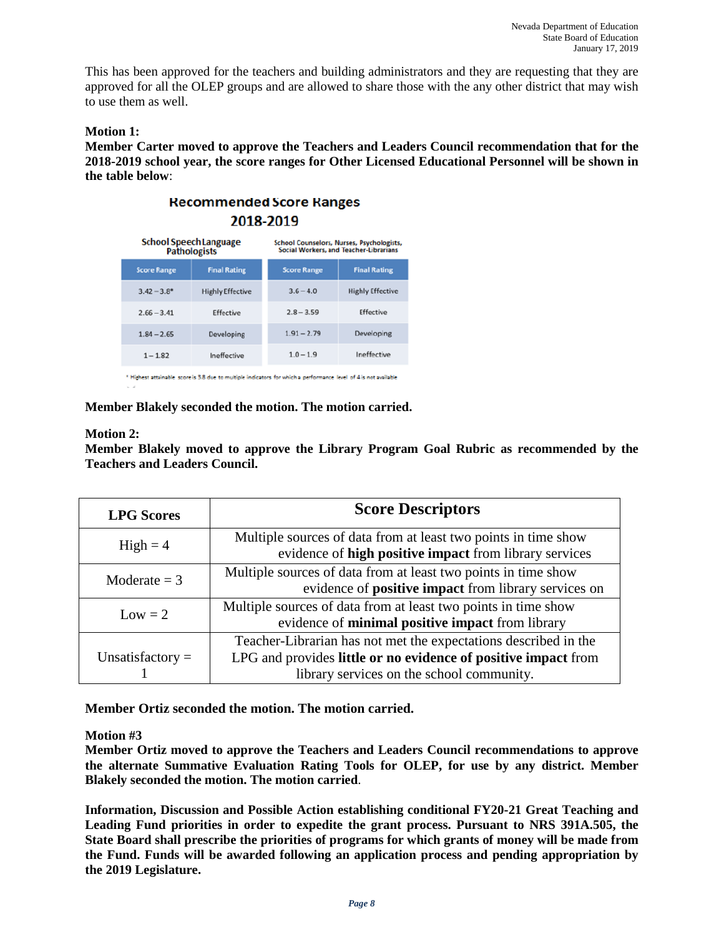This has been approved for the teachers and building administrators and they are requesting that they are approved for all the OLEP groups and are allowed to share those with the any other district that may wish to use them as well.

# **Motion 1:**

**Member Carter moved to approve the Teachers and Leaders Council recommendation that for the 2018-2019 school year, the score ranges for Other Licensed Educational Personnel will be shown in the table below**:



\* Highest attainable score is 3.8 due to multiple indicators for which a performance level of 4 is not available

**Member Blakely seconded the motion. The motion carried.** 

### **Motion 2:**

**Member Blakely moved to approve the Library Program Goal Rubric as recommended by the Teachers and Leaders Council.**

| <b>LPG</b> Scores  | <b>Score Descriptors</b>                                                                                                                                                       |  |  |
|--------------------|--------------------------------------------------------------------------------------------------------------------------------------------------------------------------------|--|--|
| $High = 4$         | Multiple sources of data from at least two points in time show<br>evidence of high positive impact from library services                                                       |  |  |
| Moderate $=$ 3     | Multiple sources of data from at least two points in time show<br>evidence of <b>positive impact</b> from library services on                                                  |  |  |
| $Low = 2$          | Multiple sources of data from at least two points in time show<br>evidence of minimal positive impact from library                                                             |  |  |
| Unsatisfactory $=$ | Teacher-Librarian has not met the expectations described in the<br>LPG and provides little or no evidence of positive impact from<br>library services on the school community. |  |  |

**Member Ortiz seconded the motion. The motion carried.** 

## **Motion #3**

**Member Ortiz moved to approve the Teachers and Leaders Council recommendations to approve the alternate Summative Evaluation Rating Tools for OLEP, for use by any district. Member Blakely seconded the motion. The motion carried**.

**Information, Discussion and Possible Action establishing conditional FY20-21 Great Teaching and Leading Fund priorities in order to expedite the grant process. Pursuant to NRS 391A.505, the State Board shall prescribe the priorities of programs for which grants of money will be made from the Fund. Funds will be awarded following an application process and pending appropriation by the 2019 Legislature.**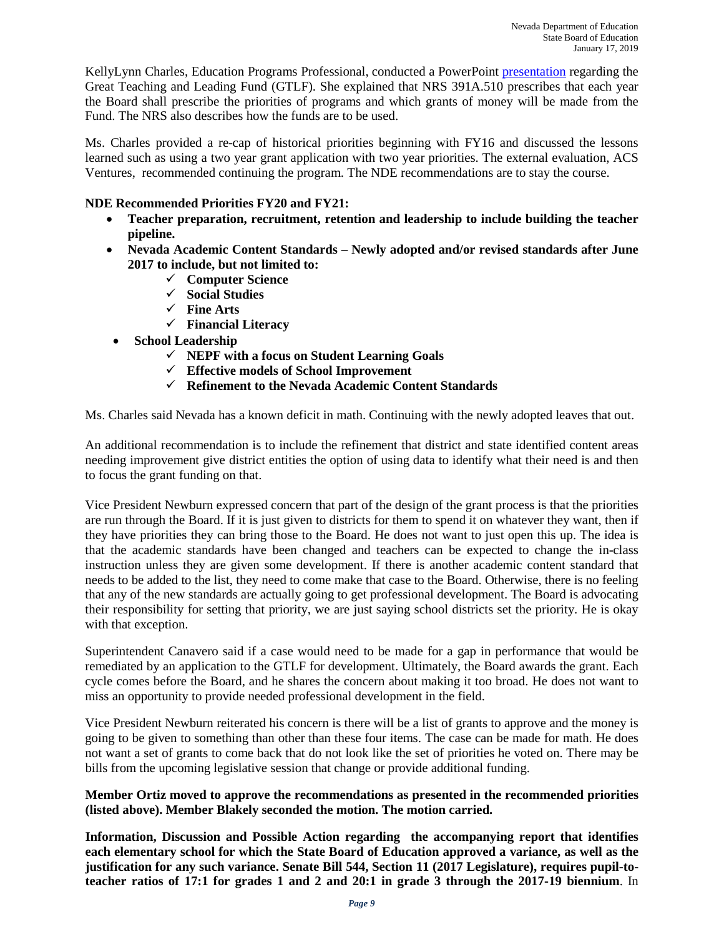KellyLynn Charles, Education Programs Professional, conducted a PowerPoint [presentation](http://www.doe.nv.gov/layouts/master/images/file_icons/pdf.png) regarding the Great Teaching and Leading Fund (GTLF). She explained that NRS 391A.510 prescribes that each year the Board shall prescribe the priorities of programs and which grants of money will be made from the Fund. The NRS also describes how the funds are to be used.

Ms. Charles provided a re-cap of historical priorities beginning with FY16 and discussed the lessons learned such as using a two year grant application with two year priorities. The external evaluation, ACS Ventures, recommended continuing the program. The NDE recommendations are to stay the course.

# **NDE Recommended Priorities FY20 and FY21:**

- **Teacher preparation, recruitment, retention and leadership to include building the teacher pipeline.**
- **Nevada Academic Content Standards – Newly adopted and/or revised standards after June 2017 to include, but not limited to:** 
	- **Computer Science**
	- **Social Studies**
	- **Fine Arts**
	- **Financial Literacy**
- **School Leadership**
	- **NEPF with a focus on Student Learning Goals**
	- **Effective models of School Improvement**
	- **Refinement to the Nevada Academic Content Standards**

Ms. Charles said Nevada has a known deficit in math. Continuing with the newly adopted leaves that out.

An additional recommendation is to include the refinement that district and state identified content areas needing improvement give district entities the option of using data to identify what their need is and then to focus the grant funding on that.

Vice President Newburn expressed concern that part of the design of the grant process is that the priorities are run through the Board. If it is just given to districts for them to spend it on whatever they want, then if they have priorities they can bring those to the Board. He does not want to just open this up. The idea is that the academic standards have been changed and teachers can be expected to change the in-class instruction unless they are given some development. If there is another academic content standard that needs to be added to the list, they need to come make that case to the Board. Otherwise, there is no feeling that any of the new standards are actually going to get professional development. The Board is advocating their responsibility for setting that priority, we are just saying school districts set the priority. He is okay with that exception.

Superintendent Canavero said if a case would need to be made for a gap in performance that would be remediated by an application to the GTLF for development. Ultimately, the Board awards the grant. Each cycle comes before the Board, and he shares the concern about making it too broad. He does not want to miss an opportunity to provide needed professional development in the field.

Vice President Newburn reiterated his concern is there will be a list of grants to approve and the money is going to be given to something than other than these four items. The case can be made for math. He does not want a set of grants to come back that do not look like the set of priorities he voted on. There may be bills from the upcoming legislative session that change or provide additional funding.

## **Member Ortiz moved to approve the recommendations as presented in the recommended priorities (listed above). Member Blakely seconded the motion. The motion carried.**

**Information, Discussion and Possible Action regarding the accompanying report that identifies each elementary school for which the State Board of Education approved a variance, as well as the justification for any such variance. Senate Bill 544, Section 11 (2017 Legislature), requires pupil-toteacher ratios of 17:1 for grades 1 and 2 and 20:1 in grade 3 through the 2017-19 biennium**. In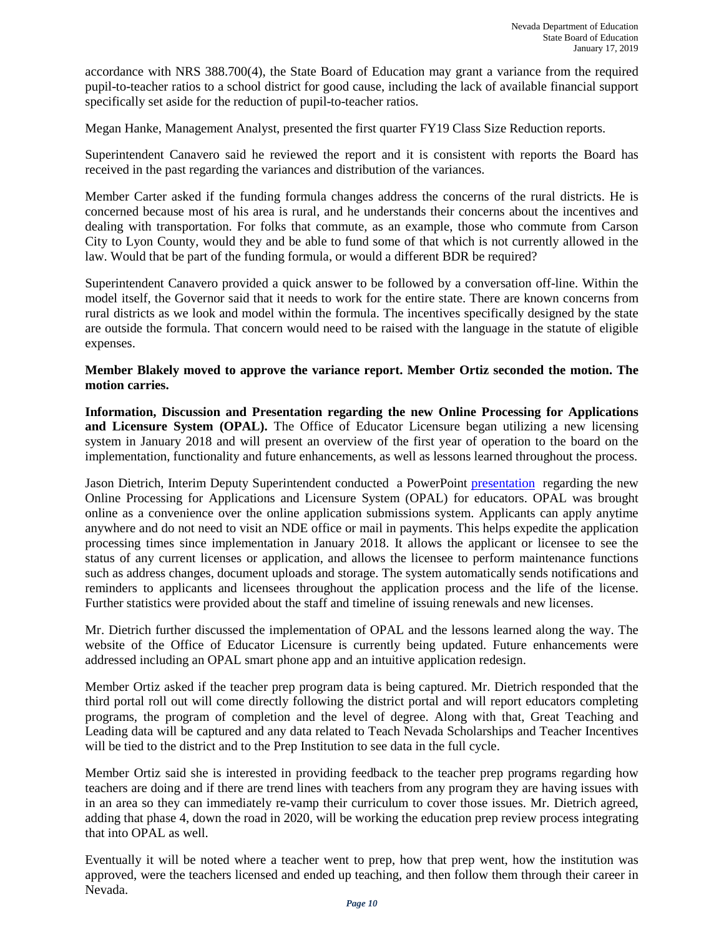accordance with NRS 388.700(4), the State Board of Education may grant a variance from the required pupil-to-teacher ratios to a school district for good cause, including the lack of available financial support specifically set aside for the reduction of pupil-to-teacher ratios.

Megan Hanke, Management Analyst, presented the first quarter FY19 Class Size Reduction reports.

Superintendent Canavero said he reviewed the report and it is consistent with reports the Board has received in the past regarding the variances and distribution of the variances.

Member Carter asked if the funding formula changes address the concerns of the rural districts. He is concerned because most of his area is rural, and he understands their concerns about the incentives and dealing with transportation. For folks that commute, as an example, those who commute from Carson City to Lyon County, would they and be able to fund some of that which is not currently allowed in the law. Would that be part of the funding formula, or would a different BDR be required?

Superintendent Canavero provided a quick answer to be followed by a conversation off-line. Within the model itself, the Governor said that it needs to work for the entire state. There are known concerns from rural districts as we look and model within the formula. The incentives specifically designed by the state are outside the formula. That concern would need to be raised with the language in the statute of eligible expenses.

### **Member Blakely moved to approve the variance report. Member Ortiz seconded the motion. The motion carries.**

**Information, Discussion and Presentation regarding the new Online Processing for Applications and Licensure System (OPAL).** The Office of Educator Licensure began utilizing a new licensing system in January 2018 and will present an overview of the first year of operation to the board on the implementation, functionality and future enhancements, as well as lessons learned throughout the process.

Jason Dietrich, Interim Deputy Superintendent conducted a PowerPoint [presentation](http://www.doe.nv.gov/layouts/master/images/file_icons/pdf.png) regarding the new Online Processing for Applications and Licensure System (OPAL) for educators. OPAL was brought online as a convenience over the online application submissions system. Applicants can apply anytime anywhere and do not need to visit an NDE office or mail in payments. This helps expedite the application processing times since implementation in January 2018. It allows the applicant or licensee to see the status of any current licenses or application, and allows the licensee to perform maintenance functions such as address changes, document uploads and storage. The system automatically sends notifications and reminders to applicants and licensees throughout the application process and the life of the license. Further statistics were provided about the staff and timeline of issuing renewals and new licenses.

Mr. Dietrich further discussed the implementation of OPAL and the lessons learned along the way. The website of the Office of Educator Licensure is currently being updated. Future enhancements were addressed including an OPAL smart phone app and an intuitive application redesign.

Member Ortiz asked if the teacher prep program data is being captured. Mr. Dietrich responded that the third portal roll out will come directly following the district portal and will report educators completing programs, the program of completion and the level of degree. Along with that, Great Teaching and Leading data will be captured and any data related to Teach Nevada Scholarships and Teacher Incentives will be tied to the district and to the Prep Institution to see data in the full cycle.

Member Ortiz said she is interested in providing feedback to the teacher prep programs regarding how teachers are doing and if there are trend lines with teachers from any program they are having issues with in an area so they can immediately re-vamp their curriculum to cover those issues. Mr. Dietrich agreed, adding that phase 4, down the road in 2020, will be working the education prep review process integrating that into OPAL as well.

Eventually it will be noted where a teacher went to prep, how that prep went, how the institution was approved, were the teachers licensed and ended up teaching, and then follow them through their career in Nevada.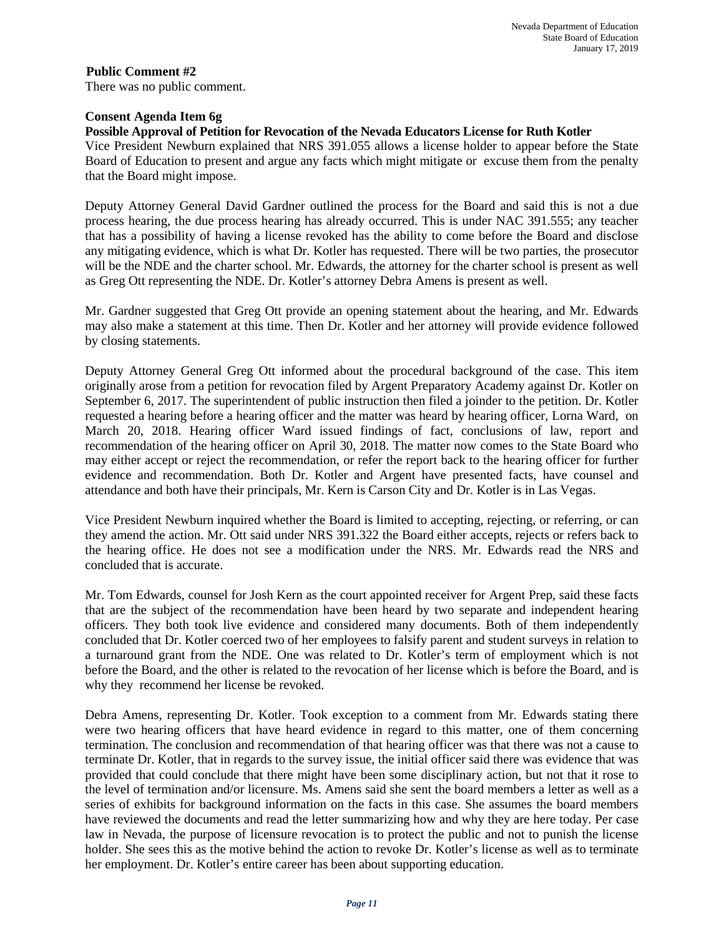## **Consent Agenda Item 6g**

## **Possible Approval of Petition for Revocation of the Nevada Educators License for Ruth Kotler**

Vice President Newburn explained that NRS 391.055 allows a license holder to appear before the State Board of Education to present and argue any facts which might mitigate or excuse them from the penalty that the Board might impose.

Deputy Attorney General David Gardner outlined the process for the Board and said this is not a due process hearing, the due process hearing has already occurred. This is under NAC 391.555; any teacher that has a possibility of having a license revoked has the ability to come before the Board and disclose any mitigating evidence, which is what Dr. Kotler has requested. There will be two parties, the prosecutor will be the NDE and the charter school. Mr. Edwards, the attorney for the charter school is present as well as Greg Ott representing the NDE. Dr. Kotler's attorney Debra Amens is present as well.

Mr. Gardner suggested that Greg Ott provide an opening statement about the hearing, and Mr. Edwards may also make a statement at this time. Then Dr. Kotler and her attorney will provide evidence followed by closing statements.

Deputy Attorney General Greg Ott informed about the procedural background of the case. This item originally arose from a petition for revocation filed by Argent Preparatory Academy against Dr. Kotler on September 6, 2017. The superintendent of public instruction then filed a joinder to the petition. Dr. Kotler requested a hearing before a hearing officer and the matter was heard by hearing officer, Lorna Ward, on March 20, 2018. Hearing officer Ward issued findings of fact, conclusions of law, report and recommendation of the hearing officer on April 30, 2018. The matter now comes to the State Board who may either accept or reject the recommendation, or refer the report back to the hearing officer for further evidence and recommendation. Both Dr. Kotler and Argent have presented facts, have counsel and attendance and both have their principals, Mr. Kern is Carson City and Dr. Kotler is in Las Vegas.

Vice President Newburn inquired whether the Board is limited to accepting, rejecting, or referring, or can they amend the action. Mr. Ott said under NRS 391.322 the Board either accepts, rejects or refers back to the hearing office. He does not see a modification under the NRS. Mr. Edwards read the NRS and concluded that is accurate.

Mr. Tom Edwards, counsel for Josh Kern as the court appointed receiver for Argent Prep, said these facts that are the subject of the recommendation have been heard by two separate and independent hearing officers. They both took live evidence and considered many documents. Both of them independently concluded that Dr. Kotler coerced two of her employees to falsify parent and student surveys in relation to a turnaround grant from the NDE. One was related to Dr. Kotler's term of employment which is not before the Board, and the other is related to the revocation of her license which is before the Board, and is why they recommend her license be revoked.

Debra Amens, representing Dr. Kotler. Took exception to a comment from Mr. Edwards stating there were two hearing officers that have heard evidence in regard to this matter, one of them concerning termination. The conclusion and recommendation of that hearing officer was that there was not a cause to terminate Dr. Kotler, that in regards to the survey issue, the initial officer said there was evidence that was provided that could conclude that there might have been some disciplinary action, but not that it rose to the level of termination and/or licensure. Ms. Amens said she sent the board members a letter as well as a series of exhibits for background information on the facts in this case. She assumes the board members have reviewed the documents and read the letter summarizing how and why they are here today. Per case law in Nevada, the purpose of licensure revocation is to protect the public and not to punish the license holder. She sees this as the motive behind the action to revoke Dr. Kotler's license as well as to terminate her employment. Dr. Kotler's entire career has been about supporting education.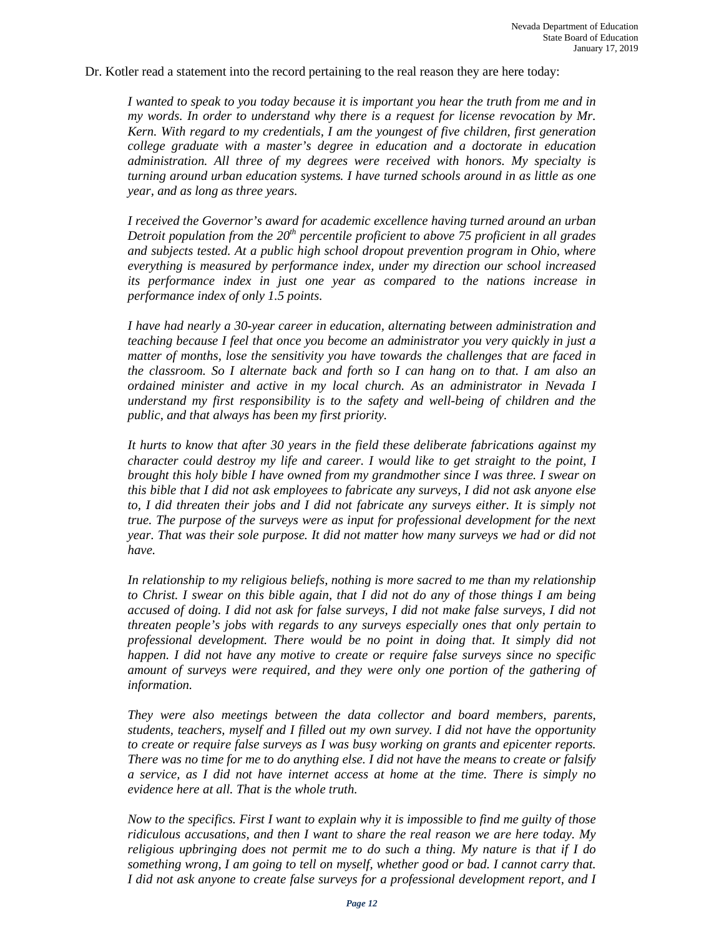Dr. Kotler read a statement into the record pertaining to the real reason they are here today:

*I wanted to speak to you today because it is important you hear the truth from me and in my words. In order to understand why there is a request for license revocation by Mr. Kern. With regard to my credentials, I am the youngest of five children, first generation college graduate with a master's degree in education and a doctorate in education administration. All three of my degrees were received with honors. My specialty is turning around urban education systems. I have turned schools around in as little as one year, and as long as three years.*

*I received the Governor's award for academic excellence having turned around an urban Detroit population from the 20th percentile proficient to above 75 proficient in all grades and subjects tested. At a public high school dropout prevention program in Ohio, where everything is measured by performance index, under my direction our school increased its performance index in just one year as compared to the nations increase in performance index of only 1.5 points.*

*I have had nearly a 30-year career in education, alternating between administration and teaching because I feel that once you become an administrator you very quickly in just a matter of months, lose the sensitivity you have towards the challenges that are faced in the classroom. So I alternate back and forth so I can hang on to that. I am also an ordained minister and active in my local church. As an administrator in Nevada I understand my first responsibility is to the safety and well-being of children and the public, and that always has been my first priority.*

*It hurts to know that after 30 years in the field these deliberate fabrications against my character could destroy my life and career. I would like to get straight to the point, I brought this holy bible I have owned from my grandmother since I was three. I swear on this bible that I did not ask employees to fabricate any surveys, I did not ask anyone else to, I did threaten their jobs and I did not fabricate any surveys either. It is simply not true. The purpose of the surveys were as input for professional development for the next year. That was their sole purpose. It did not matter how many surveys we had or did not have.*

*In relationship to my religious beliefs, nothing is more sacred to me than my relationship to Christ. I swear on this bible again, that I did not do any of those things I am being accused of doing. I did not ask for false surveys, I did not make false surveys, I did not threaten people's jobs with regards to any surveys especially ones that only pertain to professional development. There would be no point in doing that. It simply did not happen. I did not have any motive to create or require false surveys since no specific amount of surveys were required, and they were only one portion of the gathering of information.* 

*They were also meetings between the data collector and board members, parents, students, teachers, myself and I filled out my own survey. I did not have the opportunity to create or require false surveys as I was busy working on grants and epicenter reports. There was no time for me to do anything else. I did not have the means to create or falsify a service, as I did not have internet access at home at the time. There is simply no evidence here at all. That is the whole truth.*

*Now to the specifics. First I want to explain why it is impossible to find me guilty of those ridiculous accusations, and then I want to share the real reason we are here today. My religious upbringing does not permit me to do such a thing. My nature is that if I do something wrong, I am going to tell on myself, whether good or bad. I cannot carry that. I did not ask anyone to create false surveys for a professional development report, and I*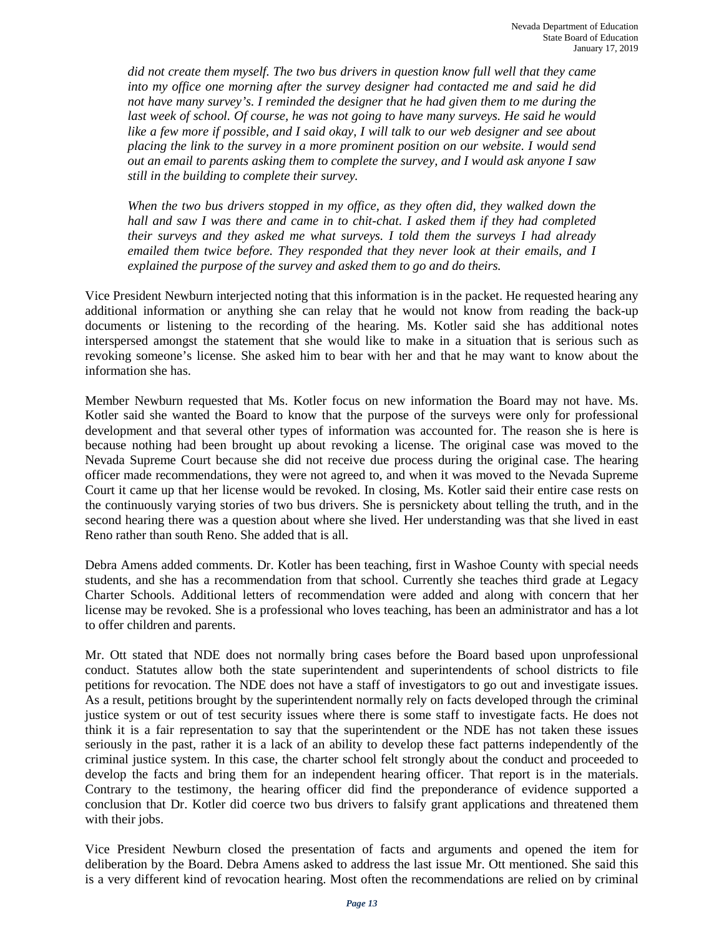*did not create them myself. The two bus drivers in question know full well that they came into my office one morning after the survey designer had contacted me and said he did not have many survey's. I reminded the designer that he had given them to me during the*  last week of school. Of course, he was not going to have many surveys. He said he would *like a few more if possible, and I said okay, I will talk to our web designer and see about placing the link to the survey in a more prominent position on our website. I would send out an email to parents asking them to complete the survey, and I would ask anyone I saw still in the building to complete their survey.*

*When the two bus drivers stopped in my office, as they often did, they walked down the hall and saw I was there and came in to chit-chat. I asked them if they had completed their surveys and they asked me what surveys. I told them the surveys I had already emailed them twice before. They responded that they never look at their emails, and I explained the purpose of the survey and asked them to go and do theirs.* 

Vice President Newburn interjected noting that this information is in the packet. He requested hearing any additional information or anything she can relay that he would not know from reading the back-up documents or listening to the recording of the hearing. Ms. Kotler said she has additional notes interspersed amongst the statement that she would like to make in a situation that is serious such as revoking someone's license. She asked him to bear with her and that he may want to know about the information she has.

Member Newburn requested that Ms. Kotler focus on new information the Board may not have. Ms. Kotler said she wanted the Board to know that the purpose of the surveys were only for professional development and that several other types of information was accounted for. The reason she is here is because nothing had been brought up about revoking a license. The original case was moved to the Nevada Supreme Court because she did not receive due process during the original case. The hearing officer made recommendations, they were not agreed to, and when it was moved to the Nevada Supreme Court it came up that her license would be revoked. In closing, Ms. Kotler said their entire case rests on the continuously varying stories of two bus drivers. She is persnickety about telling the truth, and in the second hearing there was a question about where she lived. Her understanding was that she lived in east Reno rather than south Reno. She added that is all.

Debra Amens added comments. Dr. Kotler has been teaching, first in Washoe County with special needs students, and she has a recommendation from that school. Currently she teaches third grade at Legacy Charter Schools. Additional letters of recommendation were added and along with concern that her license may be revoked. She is a professional who loves teaching, has been an administrator and has a lot to offer children and parents.

Mr. Ott stated that NDE does not normally bring cases before the Board based upon unprofessional conduct. Statutes allow both the state superintendent and superintendents of school districts to file petitions for revocation. The NDE does not have a staff of investigators to go out and investigate issues. As a result, petitions brought by the superintendent normally rely on facts developed through the criminal justice system or out of test security issues where there is some staff to investigate facts. He does not think it is a fair representation to say that the superintendent or the NDE has not taken these issues seriously in the past, rather it is a lack of an ability to develop these fact patterns independently of the criminal justice system. In this case, the charter school felt strongly about the conduct and proceeded to develop the facts and bring them for an independent hearing officer. That report is in the materials. Contrary to the testimony, the hearing officer did find the preponderance of evidence supported a conclusion that Dr. Kotler did coerce two bus drivers to falsify grant applications and threatened them with their jobs.

Vice President Newburn closed the presentation of facts and arguments and opened the item for deliberation by the Board. Debra Amens asked to address the last issue Mr. Ott mentioned. She said this is a very different kind of revocation hearing. Most often the recommendations are relied on by criminal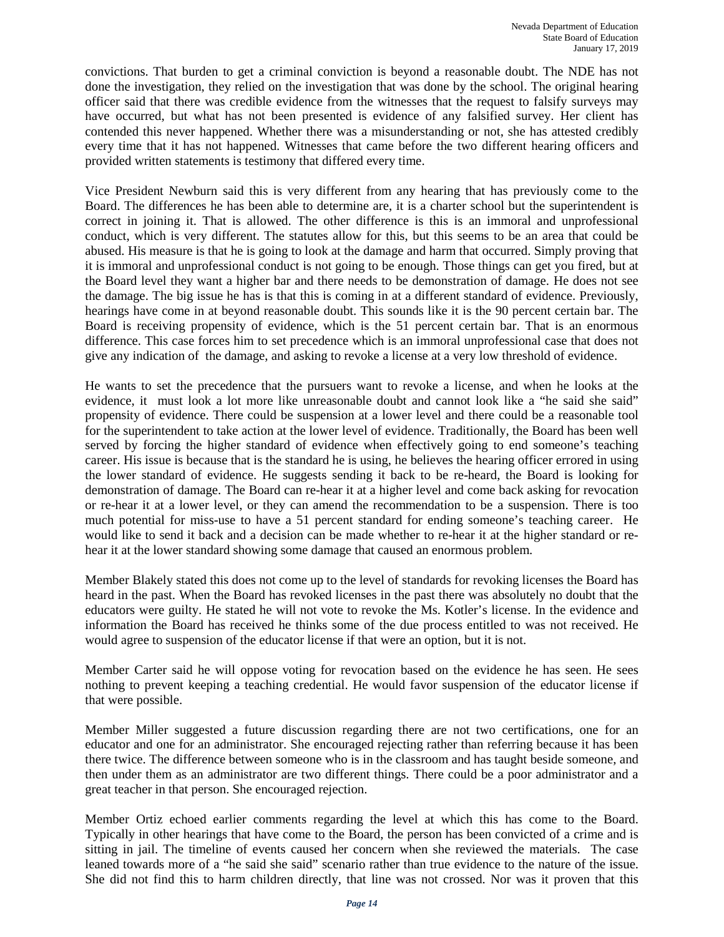convictions. That burden to get a criminal conviction is beyond a reasonable doubt. The NDE has not done the investigation, they relied on the investigation that was done by the school. The original hearing officer said that there was credible evidence from the witnesses that the request to falsify surveys may have occurred, but what has not been presented is evidence of any falsified survey. Her client has contended this never happened. Whether there was a misunderstanding or not, she has attested credibly every time that it has not happened. Witnesses that came before the two different hearing officers and provided written statements is testimony that differed every time.

Vice President Newburn said this is very different from any hearing that has previously come to the Board. The differences he has been able to determine are, it is a charter school but the superintendent is correct in joining it. That is allowed. The other difference is this is an immoral and unprofessional conduct, which is very different. The statutes allow for this, but this seems to be an area that could be abused. His measure is that he is going to look at the damage and harm that occurred. Simply proving that it is immoral and unprofessional conduct is not going to be enough. Those things can get you fired, but at the Board level they want a higher bar and there needs to be demonstration of damage. He does not see the damage. The big issue he has is that this is coming in at a different standard of evidence. Previously, hearings have come in at beyond reasonable doubt. This sounds like it is the 90 percent certain bar. The Board is receiving propensity of evidence, which is the 51 percent certain bar. That is an enormous difference. This case forces him to set precedence which is an immoral unprofessional case that does not give any indication of the damage, and asking to revoke a license at a very low threshold of evidence.

He wants to set the precedence that the pursuers want to revoke a license, and when he looks at the evidence, it must look a lot more like unreasonable doubt and cannot look like a "he said she said" propensity of evidence. There could be suspension at a lower level and there could be a reasonable tool for the superintendent to take action at the lower level of evidence. Traditionally, the Board has been well served by forcing the higher standard of evidence when effectively going to end someone's teaching career. His issue is because that is the standard he is using, he believes the hearing officer errored in using the lower standard of evidence. He suggests sending it back to be re-heard, the Board is looking for demonstration of damage. The Board can re-hear it at a higher level and come back asking for revocation or re-hear it at a lower level, or they can amend the recommendation to be a suspension. There is too much potential for miss-use to have a 51 percent standard for ending someone's teaching career. He would like to send it back and a decision can be made whether to re-hear it at the higher standard or rehear it at the lower standard showing some damage that caused an enormous problem.

Member Blakely stated this does not come up to the level of standards for revoking licenses the Board has heard in the past. When the Board has revoked licenses in the past there was absolutely no doubt that the educators were guilty. He stated he will not vote to revoke the Ms. Kotler's license. In the evidence and information the Board has received he thinks some of the due process entitled to was not received. He would agree to suspension of the educator license if that were an option, but it is not.

Member Carter said he will oppose voting for revocation based on the evidence he has seen. He sees nothing to prevent keeping a teaching credential. He would favor suspension of the educator license if that were possible.

Member Miller suggested a future discussion regarding there are not two certifications, one for an educator and one for an administrator. She encouraged rejecting rather than referring because it has been there twice. The difference between someone who is in the classroom and has taught beside someone, and then under them as an administrator are two different things. There could be a poor administrator and a great teacher in that person. She encouraged rejection.

Member Ortiz echoed earlier comments regarding the level at which this has come to the Board. Typically in other hearings that have come to the Board, the person has been convicted of a crime and is sitting in jail. The timeline of events caused her concern when she reviewed the materials. The case leaned towards more of a "he said she said" scenario rather than true evidence to the nature of the issue. She did not find this to harm children directly, that line was not crossed. Nor was it proven that this